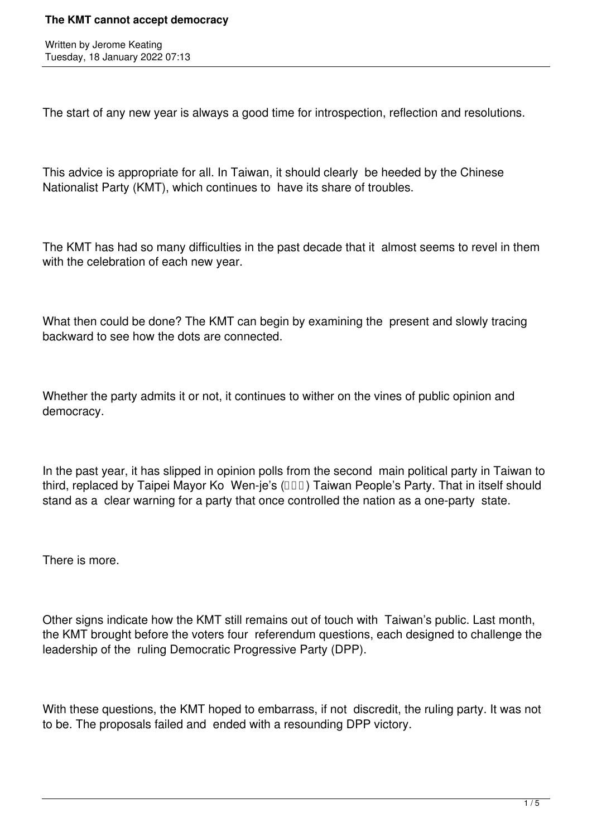## **The KMT cannot accept democracy**

Written by Jerome Keating Tuesday, 18 January 2022 07:13

The start of any new year is always a good time for introspection, reflection and resolutions.

This advice is appropriate for all. In Taiwan, it should clearly be heeded by the Chinese Nationalist Party (KMT), which continues to have its share of troubles.

The KMT has had so many difficulties in the past decade that it almost seems to revel in them with the celebration of each new year.

What then could be done? The KMT can begin by examining the present and slowly tracing backward to see how the dots are connected.

Whether the party admits it or not, it continues to wither on the vines of public opinion and democracy.

In the past year, it has slipped in opinion polls from the second main political party in Taiwan to third, replaced by Taipei Mayor Ko Wen-je's (**IIII**) Taiwan People's Party. That in itself should stand as a clear warning for a party that once controlled the nation as a one-party state.

There is more.

Other signs indicate how the KMT still remains out of touch with Taiwan's public. Last month, the KMT brought before the voters four referendum questions, each designed to challenge the leadership of the ruling Democratic Progressive Party (DPP).

With these questions, the KMT hoped to embarrass, if not discredit, the ruling party. It was not to be. The proposals failed and ended with a resounding DPP victory.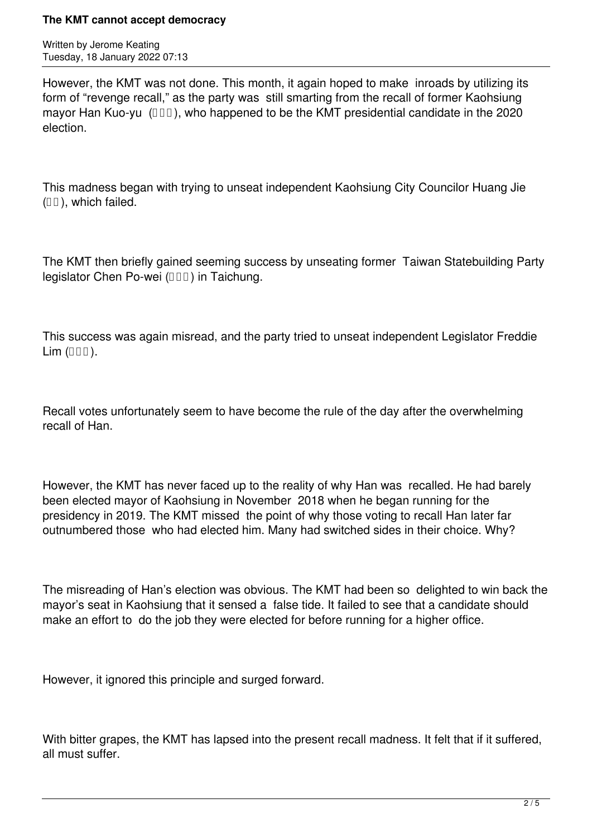## **The KMT cannot accept democracy**

Written by Jerome Keating Tuesday, 18 January 2022 07:13

However, the KMT was not done. This month, it again hoped to make inroads by utilizing its form of "revenge recall," as the party was still smarting from the recall of former Kaohsiung mayor Han Kuo-yu  $(III)$ , who happened to be the KMT presidential candidate in the 2020 election.

This madness began with trying to unseat independent Kaohsiung City Councilor Huang Jie  $(III)$ , which failed.

The KMT then briefly gained seeming success by unseating former Taiwan Statebuilding Party legislator Chen Po-wei  $(III)$  in Taichung.

This success was again misread, and the party tried to unseat independent Legislator Freddie  $Lim$  ( $III$ ).

Recall votes unfortunately seem to have become the rule of the day after the overwhelming recall of Han.

However, the KMT has never faced up to the reality of why Han was recalled. He had barely been elected mayor of Kaohsiung in November 2018 when he began running for the presidency in 2019. The KMT missed the point of why those voting to recall Han later far outnumbered those who had elected him. Many had switched sides in their choice. Why?

The misreading of Han's election was obvious. The KMT had been so delighted to win back the mayor's seat in Kaohsiung that it sensed a false tide. It failed to see that a candidate should make an effort to do the job they were elected for before running for a higher office.

However, it ignored this principle and surged forward.

With bitter grapes, the KMT has lapsed into the present recall madness. It felt that if it suffered, all must suffer.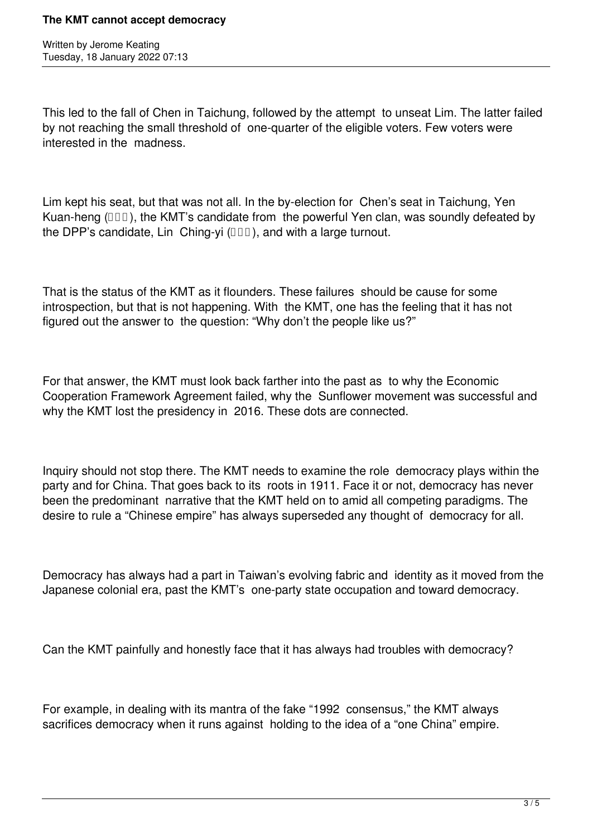Written by Jerome Keating Tuesday, 18 January 2022 07:13

This led to the fall of Chen in Taichung, followed by the attempt to unseat Lim. The latter failed by not reaching the small threshold of one-quarter of the eligible voters. Few voters were interested in the madness.

Lim kept his seat, but that was not all. In the by-election for Chen's seat in Taichung, Yen Kuan-heng ( $\Box$  $\Box$ ), the KMT's candidate from the powerful Yen clan, was soundly defeated by the DPP's candidate, Lin Ching-yi  $(III)$ , and with a large turnout.

That is the status of the KMT as it flounders. These failures should be cause for some introspection, but that is not happening. With the KMT, one has the feeling that it has not figured out the answer to the question: "Why don't the people like us?"

For that answer, the KMT must look back farther into the past as to why the Economic Cooperation Framework Agreement failed, why the Sunflower movement was successful and why the KMT lost the presidency in 2016. These dots are connected.

Inquiry should not stop there. The KMT needs to examine the role democracy plays within the party and for China. That goes back to its roots in 1911. Face it or not, democracy has never been the predominant narrative that the KMT held on to amid all competing paradigms. The desire to rule a "Chinese empire" has always superseded any thought of democracy for all.

Democracy has always had a part in Taiwan's evolving fabric and identity as it moved from the Japanese colonial era, past the KMT's one-party state occupation and toward democracy.

Can the KMT painfully and honestly face that it has always had troubles with democracy?

For example, in dealing with its mantra of the fake "1992 consensus," the KMT always sacrifices democracy when it runs against holding to the idea of a "one China" empire.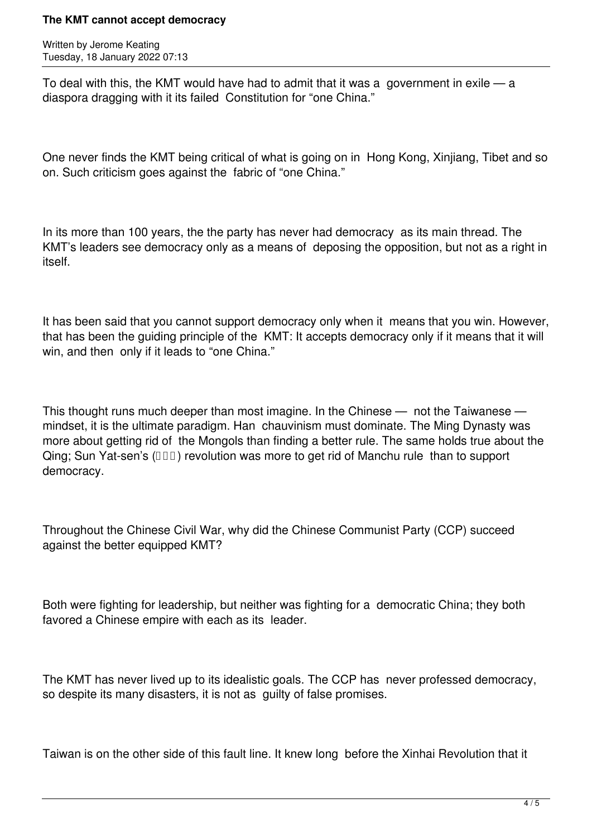## **The KMT cannot accept democracy**

Written by Jerome Keating Tuesday, 18 January 2022 07:13

To deal with this, the KMT would have had to admit that it was a government in exile — a diaspora dragging with it its failed Constitution for "one China."

One never finds the KMT being critical of what is going on in Hong Kong, Xinjiang, Tibet and so on. Such criticism goes against the fabric of "one China."

In its more than 100 years, the the party has never had democracy as its main thread. The KMT's leaders see democracy only as a means of deposing the opposition, but not as a right in itself.

It has been said that you cannot support democracy only when it means that you win. However, that has been the guiding principle of the KMT: It accepts democracy only if it means that it will win, and then only if it leads to "one China."

This thought runs much deeper than most imagine. In the Chinese — not the Taiwanese mindset, it is the ultimate paradigm. Han chauvinism must dominate. The Ming Dynasty was more about getting rid of the Mongols than finding a better rule. The same holds true about the Qing; Sun Yat-sen's  $(III)$  revolution was more to get rid of Manchu rule than to support democracy.

Throughout the Chinese Civil War, why did the Chinese Communist Party (CCP) succeed against the better equipped KMT?

Both were fighting for leadership, but neither was fighting for a democratic China; they both favored a Chinese empire with each as its leader.

The KMT has never lived up to its idealistic goals. The CCP has never professed democracy, so despite its many disasters, it is not as quilty of false promises.

Taiwan is on the other side of this fault line. It knew long before the Xinhai Revolution that it